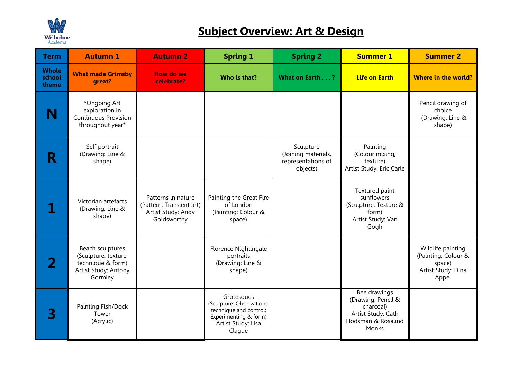

## **Subject Overview: Art & Design**

| <b>Term</b>                     | <b>Autumn 1</b>                                                                                  | <b>Autumn 2</b>                                                                     | <b>Spring 1</b>                                                                                                            | <b>Spring 2</b>                                                    | <b>Summer 1</b>                                                                                      | <b>Summer 2</b>                                                                   |
|---------------------------------|--------------------------------------------------------------------------------------------------|-------------------------------------------------------------------------------------|----------------------------------------------------------------------------------------------------------------------------|--------------------------------------------------------------------|------------------------------------------------------------------------------------------------------|-----------------------------------------------------------------------------------|
| <b>Whole</b><br>school<br>theme | <b>What made Grimsby</b><br>great?                                                               | <b>How do we</b><br>celebrate?                                                      | Who is that?                                                                                                               | What on Earth?                                                     | <b>Life on Earth</b>                                                                                 | <b>Where in the world?</b>                                                        |
| N                               | *Ongoing Art<br>exploration in<br><b>Continuous Provision</b><br>throughout year*                |                                                                                     |                                                                                                                            |                                                                    |                                                                                                      | Pencil drawing of<br>choice<br>(Drawing: Line &<br>shape)                         |
| R                               | Self portrait<br>(Drawing: Line &<br>shape)                                                      |                                                                                     |                                                                                                                            | Sculpture<br>(Joining materials,<br>representations of<br>objects) | Painting<br>(Colour mixing,<br>texture)<br>Artist Study: Eric Carle                                  |                                                                                   |
|                                 | Victorian artefacts<br>(Drawing: Line &<br>shape)                                                | Patterns in nature<br>(Pattern: Transient art)<br>Artist Study: Andy<br>Goldsworthy | Painting the Great Fire<br>of London<br>(Painting: Colour &<br>space)                                                      |                                                                    | Textured paint<br>sunflowers<br>(Sculpture: Texture &<br>form)<br>Artist Study: Van<br>Gogh          |                                                                                   |
| $\mathbf{Z}$                    | Beach sculptures<br>(Sculpture: texture,<br>technique & form)<br>Artist Study: Antony<br>Gormley |                                                                                     | Florence Nightingale<br>portraits<br>(Drawing: Line &<br>shape)                                                            |                                                                    |                                                                                                      | Wildlife painting<br>(Painting: Colour &<br>space)<br>Artist Study: Dina<br>Appel |
| 3                               | Painting Fish/Dock<br>Tower<br>(Acrylic)                                                         |                                                                                     | Grotesques<br>(Sculpture: Observations,<br>technique and control;<br>Experimenting & form)<br>Artist Study: Lisa<br>Clague |                                                                    | Bee drawings<br>(Drawing: Pencil &<br>charcoal)<br>Artist Study: Cath<br>Hodsman & Rosalind<br>Monks |                                                                                   |